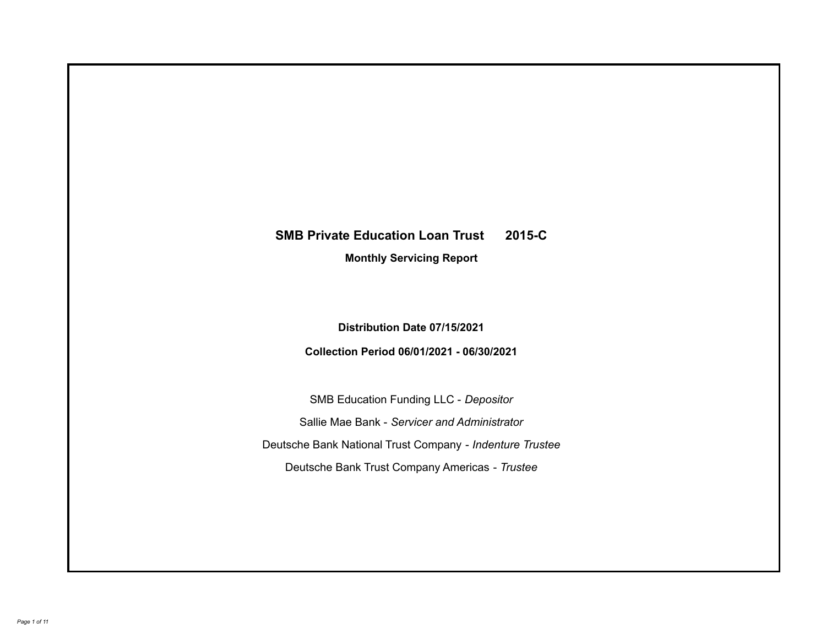# **SMB Private Education Loan Trust 2015-C**

**Monthly Servicing Report**

**Distribution Date 07/15/2021**

**Collection Period 06/01/2021 - 06/30/2021**

SMB Education Funding LLC - *Depositor* Sallie Mae Bank - *Servicer and Administrator* Deutsche Bank National Trust Company - *Indenture Trustee* Deutsche Bank Trust Company Americas - *Trustee*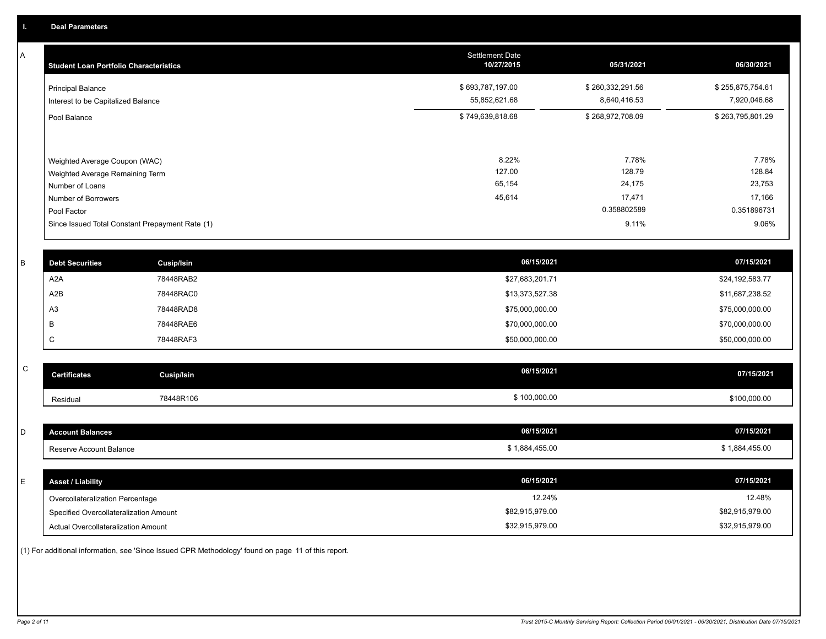A

| <b>Student Loan Portfolio Characteristics</b>                                                                             | <b>Settlement Date</b><br>10/27/2015 | 05/31/2021                                         | 06/30/2021                                         |
|---------------------------------------------------------------------------------------------------------------------------|--------------------------------------|----------------------------------------------------|----------------------------------------------------|
| <b>Principal Balance</b><br>Interest to be Capitalized Balance                                                            | \$693,787,197.00<br>55,852,621.68    | \$260,332,291.56<br>8,640,416.53                   | \$255,875,754.61<br>7,920,046.68                   |
| Pool Balance                                                                                                              | \$749,639,818.68                     | \$268,972,708.09                                   | \$263,795,801.29                                   |
| Weighted Average Coupon (WAC)<br>Weighted Average Remaining Term<br>Number of Loans<br>Number of Borrowers<br>Pool Factor | 8.22%<br>127.00<br>65,154<br>45,614  | 7.78%<br>128.79<br>24,175<br>17,471<br>0.358802589 | 7.78%<br>128.84<br>23,753<br>17,166<br>0.351896731 |
| Since Issued Total Constant Prepayment Rate (1)                                                                           |                                      | 9.11%                                              | 9.06%                                              |

| <b>Debt Securities</b> | <b>Cusip/Isin</b> | 06/15/2021      | 07/15/2021      |
|------------------------|-------------------|-----------------|-----------------|
| A2A                    | 78448RAB2         | \$27,683,201.71 | \$24,192,583.77 |
| A2B                    | 78448RAC0         | \$13,373,527.38 | \$11,687,238.52 |
| A <sub>3</sub>         | 78448RAD8         | \$75,000,000.00 | \$75,000,000.00 |
|                        | 78448RAE6         | \$70,000,000.00 | \$70,000,000.00 |
| ◡                      | 78448RAF3         | \$50,000,000.00 | \$50,000,000.00 |

| <b>Certificates</b> | Cusip/Isin | 06/15/2021   | 07/15/2021   |
|---------------------|------------|--------------|--------------|
| Residual            | 78448R106  | \$100,000.00 | \$100,000.00 |

| D  | <b>Account Balances</b>                | 06/15/2021      | 07/15/2021      |
|----|----------------------------------------|-----------------|-----------------|
|    | Reserve Account Balance                | \$1,884,455.00  | \$1,884,455.00  |
|    |                                        |                 |                 |
| E. | <b>Asset / Liability</b>               | 06/15/2021      | 07/15/2021      |
|    | Overcollateralization Percentage       | 12.24%          | 12.48%          |
|    | Specified Overcollateralization Amount | \$82,915,979.00 | \$82,915,979.00 |
|    | Actual Overcollateralization Amount    | \$32,915,979.00 | \$32,915,979.00 |

(1) For additional information, see 'Since Issued CPR Methodology' found on page 11 of this report.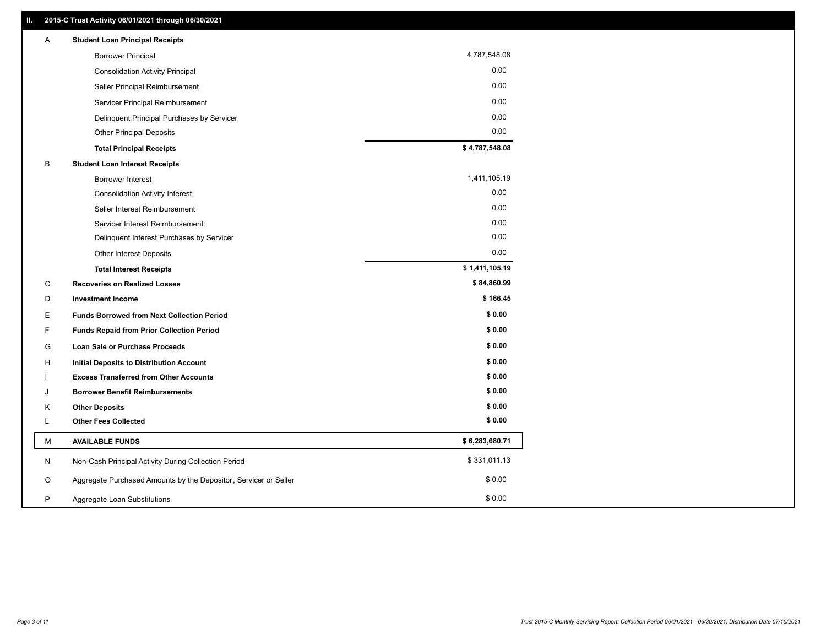| Α  | <b>Student Loan Principal Receipts</b>                           |                |
|----|------------------------------------------------------------------|----------------|
|    | <b>Borrower Principal</b>                                        | 4,787,548.08   |
|    | <b>Consolidation Activity Principal</b>                          | 0.00           |
|    | Seller Principal Reimbursement                                   | 0.00           |
|    | Servicer Principal Reimbursement                                 | 0.00           |
|    | Delinquent Principal Purchases by Servicer                       | 0.00           |
|    | <b>Other Principal Deposits</b>                                  | 0.00           |
|    | <b>Total Principal Receipts</b>                                  | \$4,787,548.08 |
| B  | <b>Student Loan Interest Receipts</b>                            |                |
|    | <b>Borrower Interest</b>                                         | 1,411,105.19   |
|    | <b>Consolidation Activity Interest</b>                           | 0.00           |
|    | Seller Interest Reimbursement                                    | 0.00           |
|    | Servicer Interest Reimbursement                                  | 0.00           |
|    | Delinquent Interest Purchases by Servicer                        | 0.00           |
|    | Other Interest Deposits                                          | 0.00           |
|    | <b>Total Interest Receipts</b>                                   | \$1,411,105.19 |
| C  | <b>Recoveries on Realized Losses</b>                             | \$84,860.99    |
| D  | <b>Investment Income</b>                                         | \$166.45       |
| E. | <b>Funds Borrowed from Next Collection Period</b>                | \$0.00         |
| F  | <b>Funds Repaid from Prior Collection Period</b>                 | \$0.00         |
| G  | Loan Sale or Purchase Proceeds                                   | \$0.00         |
| H  | Initial Deposits to Distribution Account                         | \$0.00         |
|    | <b>Excess Transferred from Other Accounts</b>                    | \$0.00         |
| J  | <b>Borrower Benefit Reimbursements</b>                           | \$0.00         |
| Κ  | <b>Other Deposits</b>                                            | \$0.00         |
| Г  | <b>Other Fees Collected</b>                                      | \$0.00         |
| M  | <b>AVAILABLE FUNDS</b>                                           | \$6,283,680.71 |
| N  | Non-Cash Principal Activity During Collection Period             | \$331,011.13   |
| O  | Aggregate Purchased Amounts by the Depositor, Servicer or Seller | \$0.00         |
| P  | Aggregate Loan Substitutions                                     | \$0.00         |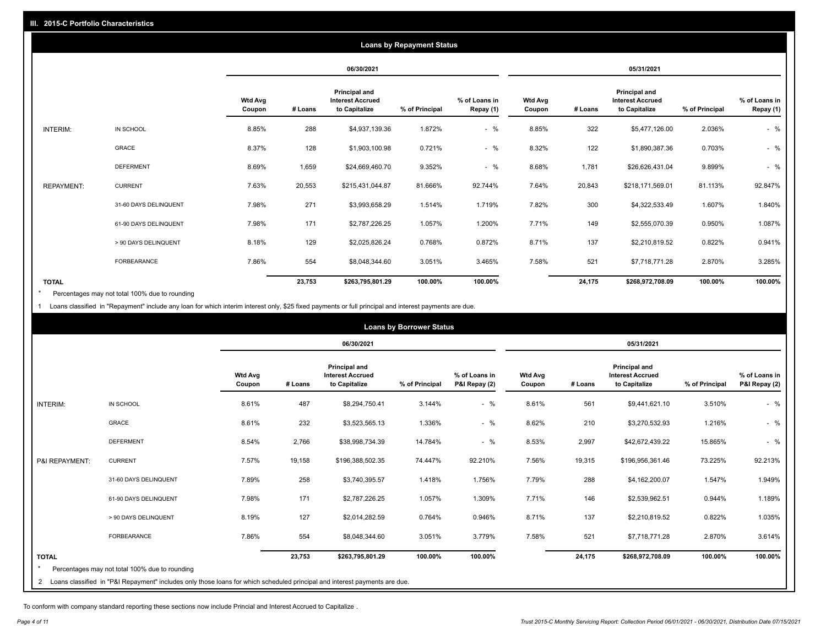|                   | <b>Loans by Repayment Status</b> |                          |            |                                                           |                |                            |                   |         |                                                           |                |                            |
|-------------------|----------------------------------|--------------------------|------------|-----------------------------------------------------------|----------------|----------------------------|-------------------|---------|-----------------------------------------------------------|----------------|----------------------------|
|                   |                                  |                          | 06/30/2021 |                                                           | 05/31/2021     |                            |                   |         |                                                           |                |                            |
|                   |                                  | <b>Wtd Avg</b><br>Coupon | # Loans    | Principal and<br><b>Interest Accrued</b><br>to Capitalize | % of Principal | % of Loans in<br>Repay (1) | Wtd Avg<br>Coupon | # Loans | Principal and<br><b>Interest Accrued</b><br>to Capitalize | % of Principal | % of Loans in<br>Repay (1) |
| INTERIM:          | IN SCHOOL                        | 8.85%                    | 288        | \$4,937,139.36                                            | 1.872%         | $-$ %                      | 8.85%             | 322     | \$5,477,126.00                                            | 2.036%         | $-$ %                      |
|                   | GRACE                            | 8.37%                    | 128        | \$1,903,100.98                                            | 0.721%         | $-$ %                      | 8.32%             | 122     | \$1,890,387.36                                            | 0.703%         | $-$ %                      |
|                   | <b>DEFERMENT</b>                 | 8.69%                    | 1,659      | \$24,669,460.70                                           | 9.352%         | $-$ %                      | 8.68%             | 1,781   | \$26,626,431.04                                           | 9.899%         | $-$ %                      |
| <b>REPAYMENT:</b> | <b>CURRENT</b>                   | 7.63%                    | 20,553     | \$215,431,044.87                                          | 81.666%        | 92.744%                    | 7.64%             | 20,843  | \$218,171,569.01                                          | 81.113%        | 92.847%                    |
|                   | 31-60 DAYS DELINQUENT            | 7.98%                    | 271        | \$3,993,658.29                                            | 1.514%         | 1.719%                     | 7.82%             | 300     | \$4,322,533.49                                            | 1.607%         | 1.840%                     |
|                   | 61-90 DAYS DELINQUENT            | 7.98%                    | 171        | \$2,787,226.25                                            | 1.057%         | 1.200%                     | 7.71%             | 149     | \$2,555,070.39                                            | 0.950%         | 1.087%                     |
|                   | > 90 DAYS DELINQUENT             | 8.18%                    | 129        | \$2,025,826.24                                            | 0.768%         | 0.872%                     | 8.71%             | 137     | \$2,210,819.52                                            | 0.822%         | 0.941%                     |
|                   | <b>FORBEARANCE</b>               | 7.86%                    | 554        | \$8,048,344.60                                            | 3.051%         | 3.465%                     | 7.58%             | 521     | \$7,718,771.28                                            | 2.870%         | 3.285%                     |
| <b>TOTAL</b>      |                                  |                          | 23,753     | \$263,795,801.29                                          | 100.00%        | 100.00%                    |                   | 24,175  | \$268,972,708.09                                          | 100.00%        | 100.00%                    |

Percentages may not total 100% due to rounding \*

1 Loans classified in "Repayment" include any loan for which interim interest only, \$25 fixed payments or full principal and interest payments are due.

| <b>Loans by Borrower Status</b> |                                                                                                                            |                          |         |                                                                  |                |                                |                          |         |                                                           |                |                                |
|---------------------------------|----------------------------------------------------------------------------------------------------------------------------|--------------------------|---------|------------------------------------------------------------------|----------------|--------------------------------|--------------------------|---------|-----------------------------------------------------------|----------------|--------------------------------|
|                                 |                                                                                                                            |                          |         | 06/30/2021                                                       |                |                                | 05/31/2021               |         |                                                           |                |                                |
|                                 |                                                                                                                            | <b>Wtd Avg</b><br>Coupon | # Loans | <b>Principal and</b><br><b>Interest Accrued</b><br>to Capitalize | % of Principal | % of Loans in<br>P&I Repay (2) | <b>Wtd Avg</b><br>Coupon | # Loans | Principal and<br><b>Interest Accrued</b><br>to Capitalize | % of Principal | % of Loans in<br>P&I Repay (2) |
| INTERIM:                        | IN SCHOOL                                                                                                                  | 8.61%                    | 487     | \$8,294,750.41                                                   | 3.144%         | $-$ %                          | 8.61%                    | 561     | \$9,441,621.10                                            | 3.510%         | $-$ %                          |
|                                 | <b>GRACE</b>                                                                                                               | 8.61%                    | 232     | \$3,523,565.13                                                   | 1.336%         | $-$ %                          | 8.62%                    | 210     | \$3,270,532.93                                            | 1.216%         | $-$ %                          |
|                                 | <b>DEFERMENT</b>                                                                                                           | 8.54%                    | 2,766   | \$38,998,734.39                                                  | 14.784%        | $-$ %                          | 8.53%                    | 2,997   | \$42,672,439.22                                           | 15.865%        | $-$ %                          |
| P&I REPAYMENT:                  | <b>CURRENT</b>                                                                                                             | 7.57%                    | 19,158  | \$196,388,502.35                                                 | 74.447%        | 92.210%                        | 7.56%                    | 19,315  | \$196,956,361.46                                          | 73.225%        | 92.213%                        |
|                                 | 31-60 DAYS DELINQUENT                                                                                                      | 7.89%                    | 258     | \$3,740,395.57                                                   | 1.418%         | 1.756%                         | 7.79%                    | 288     | \$4,162,200.07                                            | 1.547%         | 1.949%                         |
|                                 | 61-90 DAYS DELINQUENT                                                                                                      | 7.98%                    | 171     | \$2,787,226.25                                                   | 1.057%         | 1.309%                         | 7.71%                    | 146     | \$2,539,962.51                                            | 0.944%         | 1.189%                         |
|                                 | > 90 DAYS DELINQUENT                                                                                                       | 8.19%                    | 127     | \$2,014,282.59                                                   | 0.764%         | 0.946%                         | 8.71%                    | 137     | \$2,210,819.52                                            | 0.822%         | 1.035%                         |
|                                 | <b>FORBEARANCE</b>                                                                                                         | 7.86%                    | 554     | \$8,048,344.60                                                   | 3.051%         | 3.779%                         | 7.58%                    | 521     | \$7,718,771.28                                            | 2.870%         | 3.614%                         |
| <b>TOTAL</b>                    |                                                                                                                            |                          | 23,753  | \$263,795,801.29                                                 | 100.00%        | 100.00%                        |                          | 24,175  | \$268,972,708.09                                          | 100.00%        | 100.00%                        |
|                                 | Percentages may not total 100% due to rounding                                                                             |                          |         |                                                                  |                |                                |                          |         |                                                           |                |                                |
| $\overline{2}$                  | Loans classified in "P&I Repayment" includes only those loans for which scheduled principal and interest payments are due. |                          |         |                                                                  |                |                                |                          |         |                                                           |                |                                |

To conform with company standard reporting these sections now include Princial and Interest Accrued to Capitalize .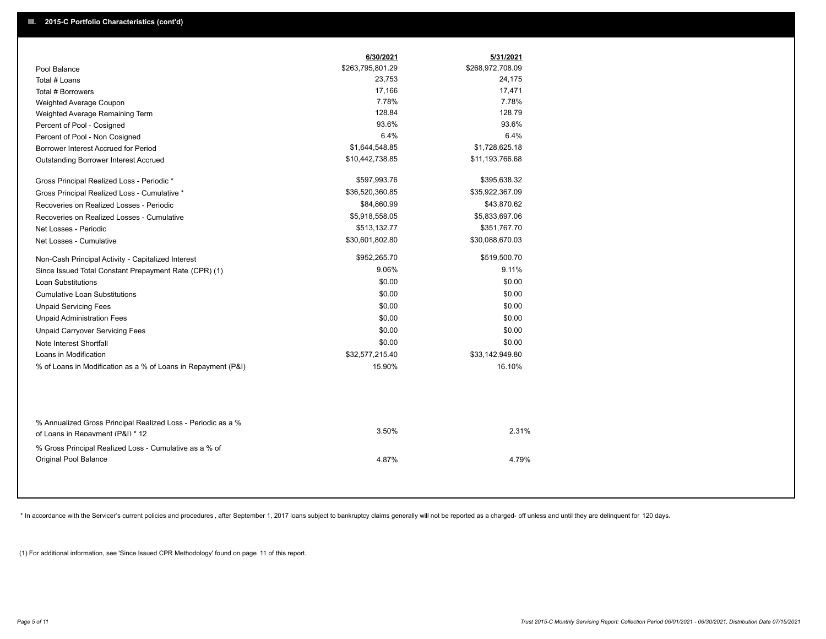|                                                                                                  | 6/30/2021        | 5/31/2021        |
|--------------------------------------------------------------------------------------------------|------------------|------------------|
| Pool Balance                                                                                     | \$263,795,801.29 | \$268,972,708.09 |
| Total # Loans                                                                                    | 23,753           | 24,175           |
| Total # Borrowers                                                                                | 17,166           | 17,471           |
| Weighted Average Coupon                                                                          | 7.78%            | 7.78%            |
| Weighted Average Remaining Term                                                                  | 128.84           | 128.79           |
| Percent of Pool - Cosigned                                                                       | 93.6%            | 93.6%            |
| Percent of Pool - Non Cosigned                                                                   | 6.4%             | 6.4%             |
| Borrower Interest Accrued for Period                                                             | \$1,644,548.85   | \$1,728,625.18   |
| Outstanding Borrower Interest Accrued                                                            | \$10,442,738.85  | \$11,193,766.68  |
| Gross Principal Realized Loss - Periodic *                                                       | \$597,993.76     | \$395,638.32     |
| Gross Principal Realized Loss - Cumulative *                                                     | \$36,520,360.85  | \$35,922,367.09  |
| Recoveries on Realized Losses - Periodic                                                         | \$84,860.99      | \$43,870.62      |
| Recoveries on Realized Losses - Cumulative                                                       | \$5,918,558.05   | \$5,833,697.06   |
| Net Losses - Periodic                                                                            | \$513,132.77     | \$351,767.70     |
| Net Losses - Cumulative                                                                          | \$30,601,802.80  | \$30,088,670.03  |
| Non-Cash Principal Activity - Capitalized Interest                                               | \$952,265.70     | \$519,500.70     |
| Since Issued Total Constant Prepayment Rate (CPR) (1)                                            | 9.06%            | 9.11%            |
| <b>Loan Substitutions</b>                                                                        | \$0.00           | \$0.00           |
| <b>Cumulative Loan Substitutions</b>                                                             | \$0.00           | \$0.00           |
| <b>Unpaid Servicing Fees</b>                                                                     | \$0.00           | \$0.00           |
| <b>Unpaid Administration Fees</b>                                                                | \$0.00           | \$0.00           |
| <b>Unpaid Carryover Servicing Fees</b>                                                           | \$0.00           | \$0.00           |
| Note Interest Shortfall                                                                          | \$0.00           | \$0.00           |
| Loans in Modification                                                                            | \$32,577,215.40  | \$33,142,949.80  |
| % of Loans in Modification as a % of Loans in Repayment (P&I)                                    | 15.90%           | 16.10%           |
|                                                                                                  |                  |                  |
| % Annualized Gross Principal Realized Loss - Periodic as a %<br>of Loans in Repayment (P&I) * 12 | 3.50%            | 2.31%            |
| % Gross Principal Realized Loss - Cumulative as a % of<br>Original Pool Balance                  | 4.87%            | 4.79%            |
|                                                                                                  |                  |                  |

\* In accordance with the Servicer's current policies and procedures, after September 1, 2017 loans subject to bankruptcy claims generally will not be reported as a charged- off unless and until they are delinquent for 120

(1) For additional information, see 'Since Issued CPR Methodology' found on page 11 of this report.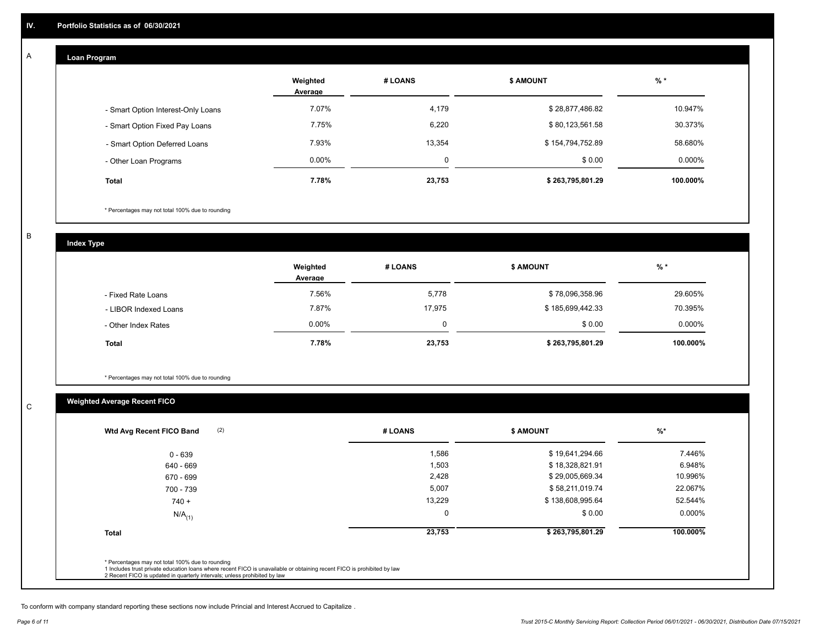#### **Loan Program**  A

|                                    | Weighted<br>Average | # LOANS | <b>\$ AMOUNT</b> | $%$ *    |
|------------------------------------|---------------------|---------|------------------|----------|
| - Smart Option Interest-Only Loans | 7.07%               | 4,179   | \$28,877,486.82  | 10.947%  |
| - Smart Option Fixed Pay Loans     | 7.75%               | 6,220   | \$80,123,561.58  | 30.373%  |
| - Smart Option Deferred Loans      | 7.93%               | 13.354  | \$154,794,752.89 | 58.680%  |
| - Other Loan Programs              | $0.00\%$            | 0       | \$0.00           | 0.000%   |
| <b>Total</b>                       | 7.78%               | 23,753  | \$263,795,801.29 | 100.000% |

\* Percentages may not total 100% due to rounding

B

C

**Index Type**

|                       | Weighted<br>Average | # LOANS  | <b>\$ AMOUNT</b> | $%$ *     |
|-----------------------|---------------------|----------|------------------|-----------|
| - Fixed Rate Loans    | 7.56%               | 5,778    | \$78,096,358.96  | 29.605%   |
| - LIBOR Indexed Loans | 7.87%               | 17.975   | \$185,699,442.33 | 70.395%   |
| - Other Index Rates   | $0.00\%$            | $\Omega$ | \$0.00           | $0.000\%$ |
| <b>Total</b>          | 7.78%               | 23,753   | \$263,795,801.29 | 100.000%  |

\* Percentages may not total 100% due to rounding

### **Weighted Average Recent FICO**

| $0 - 639$<br>640 - 669 | 1,586<br>1,503 | \$19,641,294.66  | 7.446%    |
|------------------------|----------------|------------------|-----------|
|                        |                |                  |           |
|                        |                | \$18,328,821.91  | 6.948%    |
| 670 - 699              | 2,428          | \$29,005,669.34  | 10.996%   |
| 700 - 739              | 5,007          | \$58,211,019.74  | 22.067%   |
| $740 +$                | 13,229         | \$138,608,995.64 | 52.544%   |
| $N/A$ <sub>(1)</sub>   |                | \$0.00           | $0.000\%$ |
| <b>Total</b>           | 23,753         | \$263,795,801.29 | 100.000%  |

To conform with company standard reporting these sections now include Princial and Interest Accrued to Capitalize .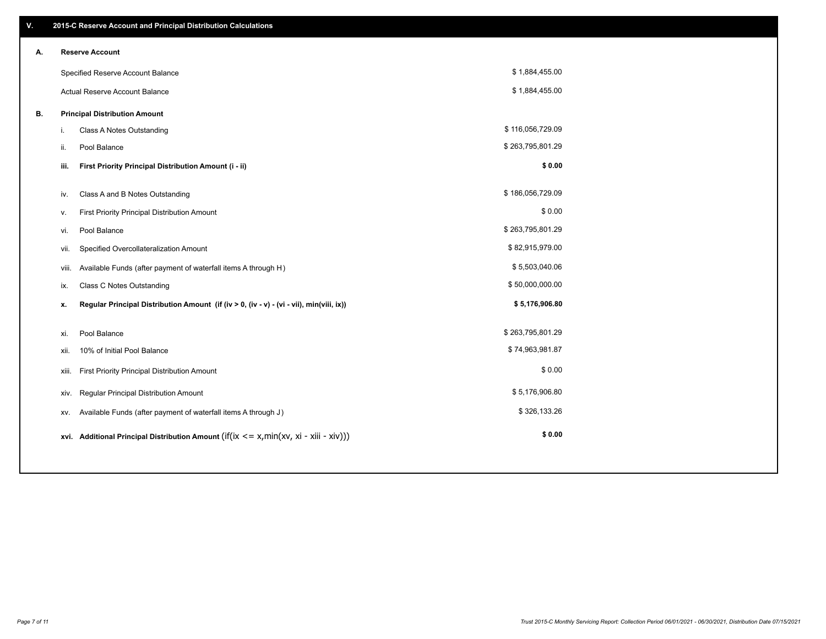| V. |       | 2015-C Reserve Account and Principal Distribution Calculations                              |                  |  |
|----|-------|---------------------------------------------------------------------------------------------|------------------|--|
| А. |       | <b>Reserve Account</b>                                                                      |                  |  |
|    |       | Specified Reserve Account Balance                                                           | \$1,884,455.00   |  |
|    |       | Actual Reserve Account Balance                                                              | \$1,884,455.00   |  |
| В. |       | <b>Principal Distribution Amount</b>                                                        |                  |  |
|    | i.    | Class A Notes Outstanding                                                                   | \$116,056,729.09 |  |
|    | ii.   | Pool Balance                                                                                | \$263,795,801.29 |  |
|    | iii.  | First Priority Principal Distribution Amount (i - ii)                                       | \$0.00           |  |
|    |       | Class A and B Notes Outstanding                                                             | \$186,056,729.09 |  |
|    | iv.   |                                                                                             | \$0.00           |  |
|    | v.    | First Priority Principal Distribution Amount                                                | \$263,795,801.29 |  |
|    | vi.   | Pool Balance                                                                                |                  |  |
|    | vii.  | Specified Overcollateralization Amount                                                      | \$82,915,979.00  |  |
|    | viii. | Available Funds (after payment of waterfall items A through H)                              | \$5,503,040.06   |  |
|    | ix.   | <b>Class C Notes Outstanding</b>                                                            | \$50,000,000.00  |  |
|    | х.    | Regular Principal Distribution Amount (if (iv > 0, (iv - v) - (vi - vii), min(viii, ix))    | \$5,176,906.80   |  |
|    |       |                                                                                             |                  |  |
|    | xi.   | Pool Balance                                                                                | \$263,795,801.29 |  |
|    | xii.  | 10% of Initial Pool Balance                                                                 | \$74,963,981.87  |  |
|    | xiii. | First Priority Principal Distribution Amount                                                | \$0.00           |  |
|    | XIV.  | Regular Principal Distribution Amount                                                       | \$5,176,906.80   |  |
|    | XV.   | Available Funds (after payment of waterfall items A through J)                              | \$326,133.26     |  |
|    |       | xvi. Additional Principal Distribution Amount (if(ix $\leq$ = x, min(xv, xi - xiii - xiv))) | \$0.00           |  |
|    |       |                                                                                             |                  |  |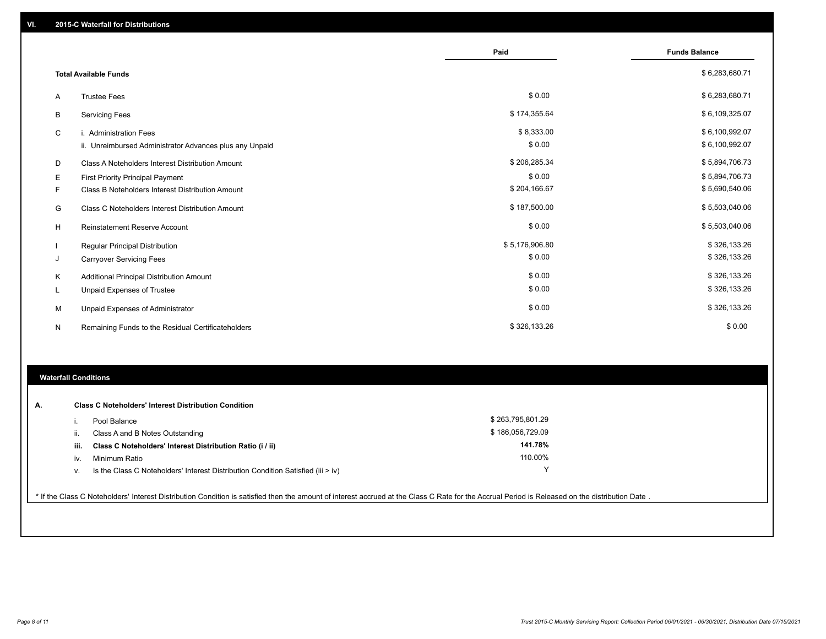|   |                                                         | Paid           | <b>Funds Balance</b> |
|---|---------------------------------------------------------|----------------|----------------------|
|   | <b>Total Available Funds</b>                            |                | \$6,283,680.71       |
| A | <b>Trustee Fees</b>                                     | \$0.00         | \$6,283,680.71       |
| B | <b>Servicing Fees</b>                                   | \$174,355.64   | \$6,109,325.07       |
| C | <b>Administration Fees</b>                              | \$8,333.00     | \$6,100,992.07       |
|   | ii. Unreimbursed Administrator Advances plus any Unpaid | \$0.00         | \$6,100,992.07       |
| D | Class A Noteholders Interest Distribution Amount        | \$206,285.34   | \$5,894,706.73       |
| Е | First Priority Principal Payment                        | \$0.00         | \$5,894,706.73       |
| F | Class B Noteholders Interest Distribution Amount        | \$204,166.67   | \$5,690,540.06       |
| G | <b>Class C Noteholders Interest Distribution Amount</b> | \$187,500.00   | \$5,503,040.06       |
| H | <b>Reinstatement Reserve Account</b>                    | \$0.00         | \$5,503,040.06       |
|   | Regular Principal Distribution                          | \$5,176,906.80 | \$326,133.26         |
| J | <b>Carryover Servicing Fees</b>                         | \$0.00         | \$326,133.26         |
| Κ | Additional Principal Distribution Amount                | \$0.00         | \$326,133.26         |
|   | Unpaid Expenses of Trustee                              | \$0.00         | \$326,133.26         |
| М | Unpaid Expenses of Administrator                        | \$0.00         | \$326,133.26         |
| N | Remaining Funds to the Residual Certificateholders      | \$326,133.26   | \$0.00               |

### **Waterfall Conditions**

| А. | <b>Class C Noteholders' Interest Distribution Condition</b> |                                                                                    |                  |  |  |
|----|-------------------------------------------------------------|------------------------------------------------------------------------------------|------------------|--|--|
|    |                                                             | Pool Balance                                                                       | \$263,795,801.29 |  |  |
|    | H.                                                          | Class A and B Notes Outstanding                                                    | \$186,056,729.09 |  |  |
|    | iii.                                                        | Class C Noteholders' Interest Distribution Ratio (i / ii)                          | 141.78%          |  |  |
|    | IV.                                                         | Minimum Ratio                                                                      | 110.00%          |  |  |
|    | ν.                                                          | Is the Class C Noteholders' Interest Distribution Condition Satisfied (iii $>$ iv) |                  |  |  |
|    |                                                             |                                                                                    |                  |  |  |

\* If the Class C Noteholders' Interest Distribution Condition is satisfied then the amount of interest accrued at the Class C Rate for the Accrual Period is Released on the distribution Date .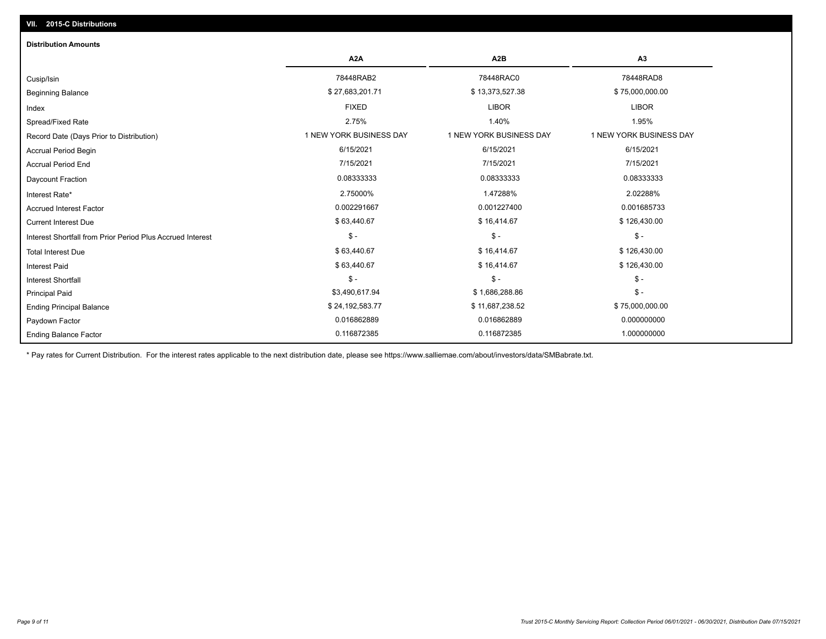## Ending Balance Factor Paydown Factor 0.016862889 0.016862889 0.000000000 Ending Principal Balance \$ 75,000,000.00 \$ 24,192,583.77 \$ \$ 24,192,583.77 \$ \$ 11,687,238.52 \$ 36,000,000.00 \$ 75,000,000.00 Principal Paid \$3,490,617.94 \$ 1,686,288.86 \$ - \$ - \$ - \$ - Interest Shortfall \$ 63,440.67 \$ 16,414.67 \$ 126,430.00 Interest Paid Total Interest Due \$ 63,440.67 \$ 16,414.67 \$ 126,430.00 \$ - \$ - \$ - Interest Shortfall from Prior Period Plus Accrued Interest  $\text{Current Interest Due}$  \$ 16,414.67  $\text{\$16,414.67}$ Accrued Interest Factor 0.002291667 0.001227400 0.001685733 Interest Rate\* 2.75000% 1.47288% 2.02288% Daycount Fraction 0.08333333 0.08333333 0.08333333 Accrual Period End 7/15/2021 7/15/2021 7/15/2021 Accrual Period Begin 6/15/2021 6/15/2021 6/15/2021 Record Date (Days Prior to Distribution) **1 NEW YORK BUSINESS DAY** 1 NEW YORK BUSINESS DAY 1 NEW YORK BUSINESS DAY Spread/Fixed Rate 2.75% 1.40% 1.95% Index FIXED LIBOR LIBOR Beginning Balance \$ 27,683,201.71 \$ \$ 13,373,527.38 \$ 75,000,000.00 \$ \$ 75,000,000.00 \$ \$ 75,000,000.00 \$ \$ 75,000,000 Cusip/Isin 78448RAB2 78448RAC0 78448RAD8 **A2A A2B A3** 0.116872385 0.116872385 1.000000000 **Distribution Amounts**

\* Pay rates for Current Distribution. For the interest rates applicable to the next distribution date, please see https://www.salliemae.com/about/investors/data/SMBabrate.txt.

**VII. 2015-C Distributions**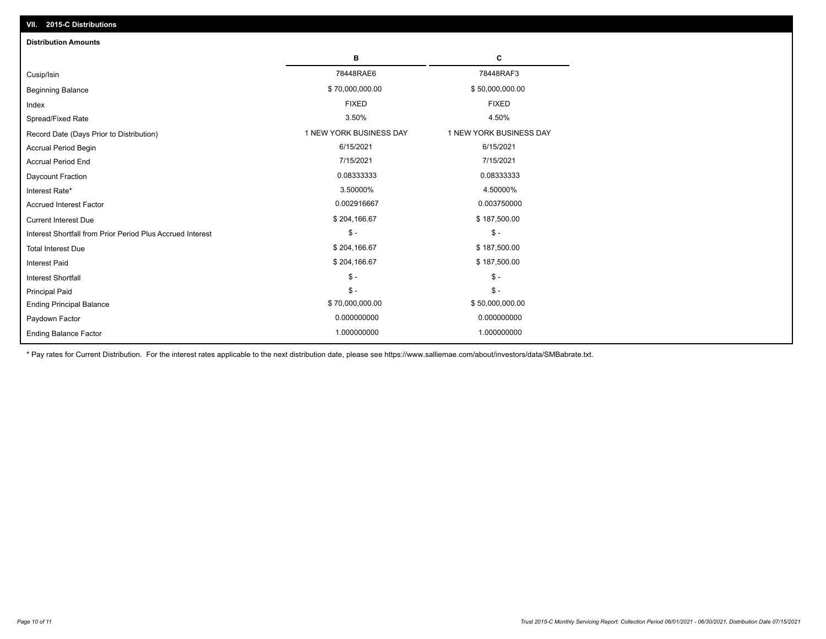| VII. 2015-C Distributions                                  |                         |                         |  |  |  |
|------------------------------------------------------------|-------------------------|-------------------------|--|--|--|
| <b>Distribution Amounts</b>                                |                         |                         |  |  |  |
|                                                            | в                       | C                       |  |  |  |
| Cusip/Isin                                                 | 78448RAE6               | 78448RAF3               |  |  |  |
| <b>Beginning Balance</b>                                   | \$70,000,000.00         | \$50,000,000.00         |  |  |  |
| Index                                                      | <b>FIXED</b>            | <b>FIXED</b>            |  |  |  |
| Spread/Fixed Rate                                          | 3.50%                   | 4.50%                   |  |  |  |
| Record Date (Days Prior to Distribution)                   | 1 NEW YORK BUSINESS DAY | 1 NEW YORK BUSINESS DAY |  |  |  |
| <b>Accrual Period Begin</b>                                | 6/15/2021               | 6/15/2021               |  |  |  |
| <b>Accrual Period End</b>                                  | 7/15/2021               | 7/15/2021               |  |  |  |
| Daycount Fraction                                          | 0.08333333              | 0.08333333              |  |  |  |
| Interest Rate*                                             | 3.50000%                | 4.50000%                |  |  |  |
| <b>Accrued Interest Factor</b>                             | 0.002916667             | 0.003750000             |  |  |  |
| <b>Current Interest Due</b>                                | \$204,166.67            | \$187,500.00            |  |  |  |
| Interest Shortfall from Prior Period Plus Accrued Interest | $\mathcal{S}$ -         | $\frac{1}{2}$           |  |  |  |
| <b>Total Interest Due</b>                                  | \$204,166.67            | \$187,500.00            |  |  |  |
| Interest Paid                                              | \$204,166.67            | \$187,500.00            |  |  |  |
| Interest Shortfall                                         | $\mathcal{S}$ -         | $\frac{1}{2}$           |  |  |  |
| <b>Principal Paid</b>                                      | $$ -$                   | $$ -$                   |  |  |  |
| <b>Ending Principal Balance</b>                            | \$70,000,000.00         | \$50,000,000.00         |  |  |  |
| Paydown Factor                                             | 0.000000000             | 0.000000000             |  |  |  |
| <b>Ending Balance Factor</b>                               | 1.000000000             | 1.000000000             |  |  |  |

\* Pay rates for Current Distribution. For the interest rates applicable to the next distribution date, please see https://www.salliemae.com/about/investors/data/SMBabrate.txt.